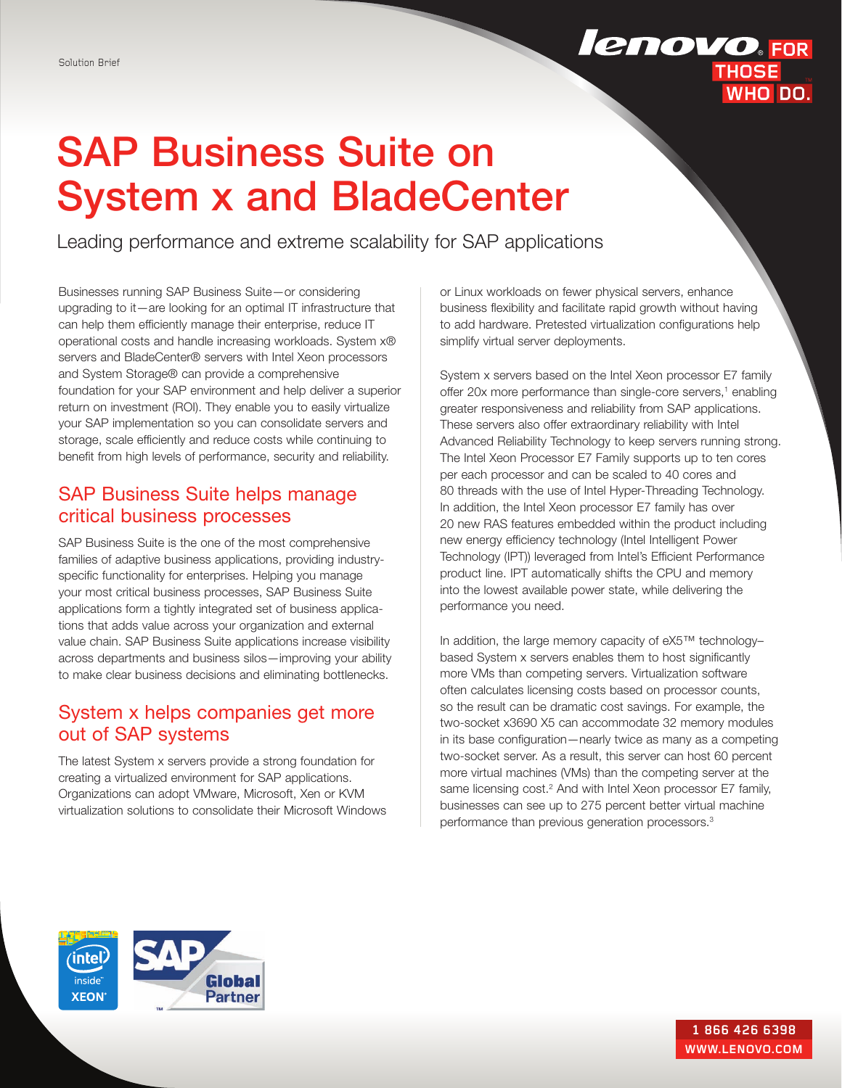## **lenovo**.FOR **THOSE** WHO DO.

# SAP Business Suite on System x and BladeCenter

Leading performance and extreme scalability for SAP applications

Businesses running SAP Business Suite—or considering upgrading to it—are looking for an optimal IT infrastructure that can help them efficiently manage their enterprise, reduce IT operational costs and handle increasing workloads. System x® servers and BladeCenter® servers with Intel Xeon processors and System Storage® can provide a comprehensive foundation for your SAP environment and help deliver a superior return on investment (ROI). They enable you to easily virtualize your SAP implementation so you can consolidate servers and storage, scale efficiently and reduce costs while continuing to benefit from high levels of performance, security and reliability.

## SAP Business Suite helps manage critical business processes

SAP Business Suite is the one of the most comprehensive families of adaptive business applications, providing industryspecific functionality for enterprises. Helping you manage your most critical business processes, SAP Business Suite applications form a tightly integrated set of business applications that adds value across your organization and external value chain. SAP Business Suite applications increase visibility across departments and business silos—improving your ability to make clear business decisions and eliminating bottlenecks.

## System x helps companies get more out of SAP systems

The latest System x servers provide a strong foundation for creating a virtualized environment for SAP applications. Organizations can adopt VMware, Microsoft, Xen or KVM virtualization solutions to consolidate their Microsoft Windows or Linux workloads on fewer physical servers, enhance business flexibility and facilitate rapid growth without having to add hardware. Pretested virtualization configurations help simplify virtual server deployments.

System x servers based on the Intel Xeon processor E7 family offer 20x more performance than single-core servers,<sup>1</sup> enabling greater responsiveness and reliability from SAP applications. These servers also offer extraordinary reliability with Intel Advanced Reliability Technology to keep servers running strong. The Intel Xeon Processor E7 Family supports up to ten cores per each processor and can be scaled to 40 cores and 80 threads with the use of Intel Hyper-Threading Technology. In addition, the Intel Xeon processor E7 family has over 20 new RAS features embedded within the product including new energy efficiency technology (Intel Intelligent Power Technology (IPT)) leveraged from Intel's Efficient Performance product line. IPT automatically shifts the CPU and memory into the lowest available power state, while delivering the performance you need.

In addition, the large memory capacity of eX5™ technology– based System x servers enables them to host significantly more VMs than competing servers. Virtualization software often calculates licensing costs based on processor counts, so the result can be dramatic cost savings. For example, the two-socket x3690 X5 can accommodate 32 memory modules in its base configuration—nearly twice as many as a competing two- socket server. As a result, this server can host 60 percent more virtual machines (VMs) than the competing server at the same licensing cost.<sup>2</sup> And with Intel Xeon processor E7 family, businesses can see up to 275 percent better virtual machine performance than previous generation processors.<sup>3</sup>

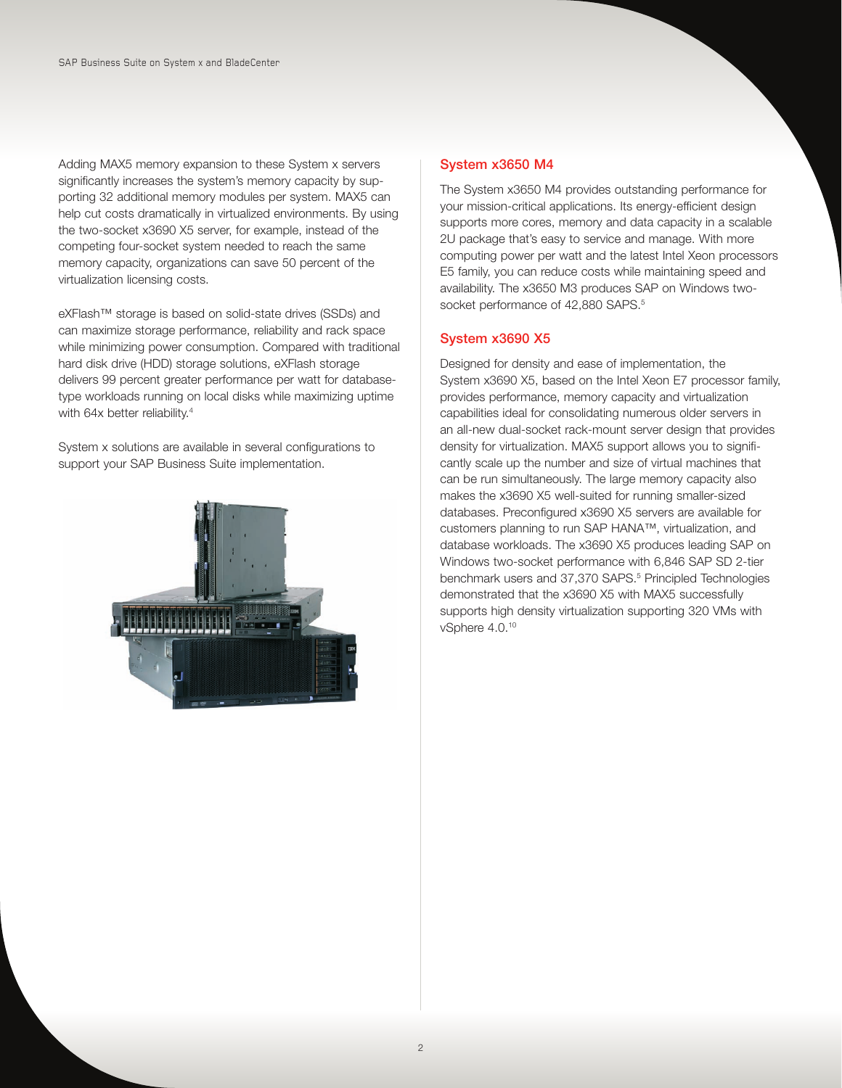Adding MAX5 memory expansion to these System x servers significantly increases the system's memory capacity by supporting 32 additional memory modules per system. MAX5 can help cut costs dramatically in virtualized environments. By using the two-socket x3690 X5 server, for example, instead of the competing four- socket system needed to reach the same memory capacity, organizations can save 50 percent of the virtualization licensing costs.

eXFlash™ storage is based on solid-state drives (SSDs) and can maximize storage performance, reliability and rack space while minimizing power consumption. Compared with traditional hard disk drive (HDD) storage solutions, eXFlash storage delivers 99 percent greater performance per watt for databasetype workloads running on local disks while maximizing uptime with 64x better reliability.<sup>4</sup>

System x solutions are available in several configurations to support your SAP Business Suite implementation.



### System x3650 M4

The System x3650 M4 provides outstanding performance for your mission-critical applications. Its energy-efficient design supports more cores, memory and data capacity in a scalable 2U package that's easy to service and manage. With more computing power per watt and the latest Intel Xeon processors E5 family, you can reduce costs while maintaining speed and availability. The x3650 M3 produces SAP on Windows twosocket performance of 42,880 SAPS.<sup>5</sup>

## System x3690 X5

Designed for density and ease of implementation, the System x3690 X5, based on the Intel Xeon E7 processor family, provides performance, memory capacity and virtualization capabilities ideal for consolidating numerous older servers in an all-new dual-socket rack-mount server design that provides density for virtualization. MAX5 support allows you to significantly scale up the number and size of virtual machines that can be run simultaneously. The large memory capacity also makes the x3690 X5 well-suited for running smaller-sized databases. Preconfigured x3690 X5 servers are available for customers planning to run SAP HANA™, virtualization, and database workloads. The x3690 X5 produces leading SAP on Windows two-socket performance with 6,846 SAP SD 2-tier benchmark users and 37,370 SAPS.<sup>5</sup> Principled Technologies demonstrated that the x3690 X5 with MAX5 successfully supports high density virtualization supporting 320 VMs with vSphere 4.0.10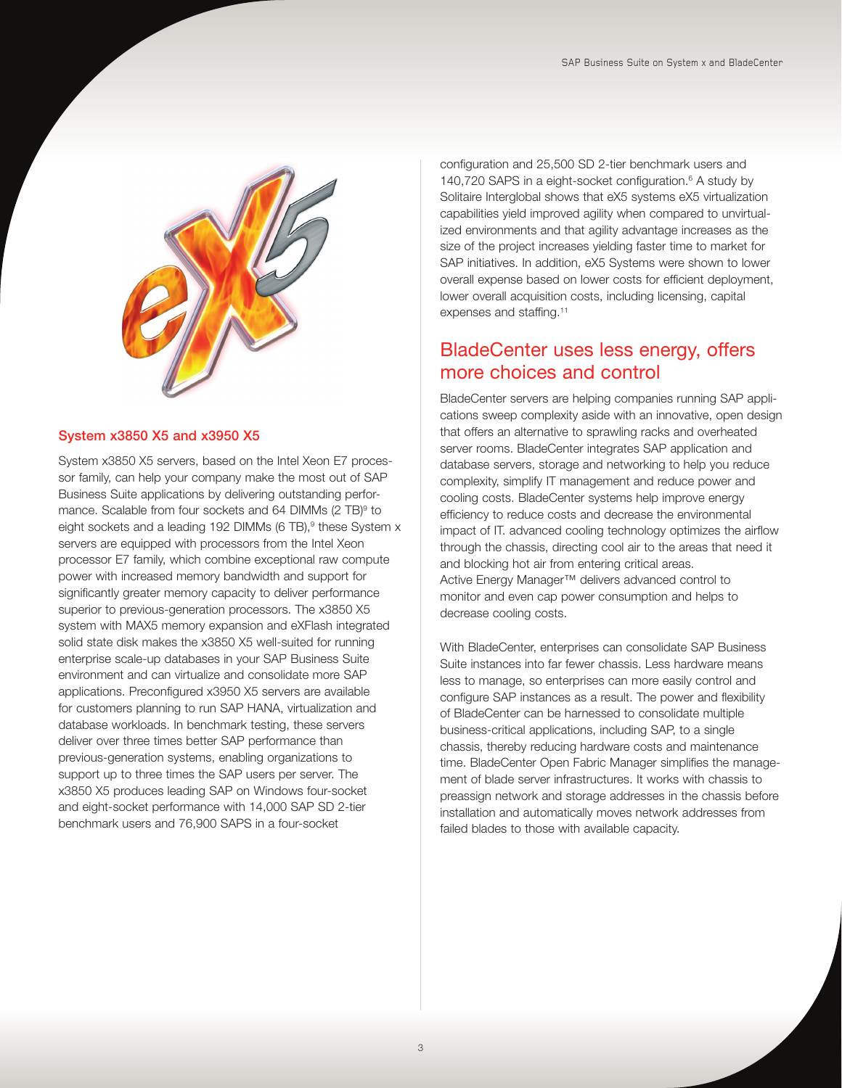

#### System x3850 X5 and x3950 X5

System x3850 X5 servers, based on the Intel Xeon E7 processor family, can help your company make the most out of SAP Business Suite applications by delivering outstanding performance. Scalable from four sockets and 64 DIMMs (2 TB)<sup>9</sup> to eight sockets and a leading 192 DIMMs (6 TB),<sup>9</sup> these System x servers are equipped with processors from the Intel Xeon processor E7 family, which combine exceptional raw compute power with increased memory bandwidth and support for significantly greater memory capacity to deliver performance superior to previous-generation processors. The x3850 X5 system with MAX5 memory expansion and eXFlash integrated solid state disk makes the x3850 X5 well-suited for running enterprise scale-up databases in your SAP Business Suite environment and can virtualize and consolidate more SAP applications. Preconfigured x3950 X5 servers are available for customers planning to run SAP HANA, virtualization and database workloads. In benchmark testing, these servers deliver over three times better SAP performance than previous- generation systems, enabling organizations to support up to three times the SAP users per server. The x3850 X5 produces leading SAP on Windows four-socket and eight- socket performance with 14,000 SAP SD 2-tier benchmark users and 76,900 SAPS in a four-socket

configuration and 25,500 SD 2-tier benchmark users and 140,720 SAPS in a eight-socket configuration.<sup>6</sup> A study by Solitaire Interglobal shows that eX5 systems eX5 virtualization capabilities yield improved agility when compared to unvirtualized environments and that agility advantage increases as the size of the project increases yielding faster time to market for SAP initiatives. In addition, eX5 Systems were shown to lower overall expense based on lower costs for efficient deployment, lower overall acquisition costs, including licensing, capital expenses and staffing.<sup>11</sup>

## BladeCenter uses less energy, offers more choices and control

BladeCenter servers are helping companies running SAP applications sweep complexity aside with an innovative, open design that offers an alternative to sprawling racks and overheated server rooms. BladeCenter integrates SAP application and database servers, storage and networking to help you reduce complexity, simplify IT management and reduce power and cooling costs. BladeCenter systems help improve energy efficiency to reduce costs and decrease the environmental impact of IT. advanced cooling technology optimizes the airflow through the chassis, directing cool air to the areas that need it and blocking hot air from entering critical areas. Active Energy Manager™ delivers advanced control to monitor and even cap power consumption and helps to decrease cooling costs.

With BladeCenter, enterprises can consolidate SAP Business Suite instances into far fewer chassis. Less hardware means less to manage, so enterprises can more easily control and configure SAP instances as a result. The power and flexibility of BladeCenter can be harnessed to consolidate multiple business- critical applications, including SAP, to a single chassis, thereby reducing hardware costs and maintenance time. BladeCenter Open Fabric Manager simplifies the management of blade server infrastructures. It works with chassis to preassign network and storage addresses in the chassis before installation and automatically moves network addresses from failed blades to those with available capacity.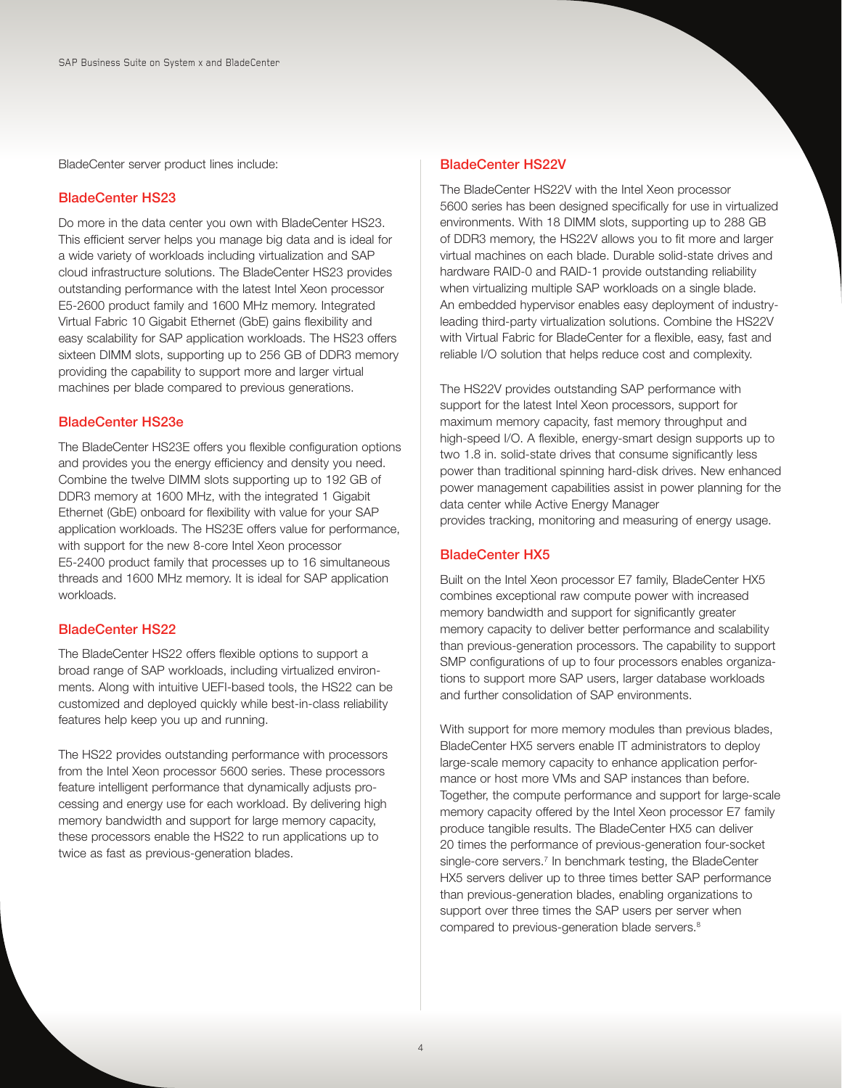BladeCenter server product lines include:

#### BladeCenter HS23

Do more in the data center you own with BladeCenter HS23. This efficient server helps you manage big data and is ideal for a wide variety of workloads including virtualization and SAP cloud infrastructure solutions. The BladeCenter HS23 provides outstanding performance with the latest Intel Xeon processor E5- 2600 product family and 1600 MHz memory. Integrated Virtual Fabric 10 Gigabit Ethernet (GbE) gains flexibility and easy scalability for SAP application workloads. The HS23 offers sixteen DIMM slots, supporting up to 256 GB of DDR3 memory providing the capability to support more and larger virtual machines per blade compared to previous generations.

#### BladeCenter HS23e

The BladeCenter HS23E offers you flexible configuration options and provides you the energy efficiency and density you need. Combine the twelve DIMM slots supporting up to 192 GB of DDR3 memory at 1600 MHz, with the integrated 1 Gigabit Ethernet (GbE) onboard for flexibility with value for your SAP application workloads. The HS23E offers value for performance, with support for the new 8-core Intel Xeon processor E5- 2400 product family that processes up to 16 simultaneous threads and 1600 MHz memory. It is ideal for SAP application workloads.

#### BladeCenter HS22

The BladeCenter HS22 offers flexible options to support a broad range of SAP workloads, including virtualized environments. Along with intuitive UEFI-based tools, the HS22 can be customized and deployed quickly while best-in- class reliability features help keep you up and running.

The HS22 provides outstanding performance with processors from the Intel Xeon processor 5600 series. These processors feature intelligent performance that dynamically adjusts processing and energy use for each workload. By delivering high memory bandwidth and support for large memory capacity, these processors enable the HS22 to run applications up to twice as fast as previous-generation blades.

#### BladeCenter HS22V

The BladeCenter HS22V with the Intel Xeon processor 5600 series has been designed specifically for use in virtualized environments. With 18 DIMM slots, supporting up to 288 GB of DDR3 memory, the HS22V allows you to fit more and larger virtual machines on each blade. Durable solid-state drives and hardware RAID-0 and RAID-1 provide outstanding reliability when virtualizing multiple SAP workloads on a single blade. An embedded hypervisor enables easy deployment of industryleading third-party virtualization solutions. Combine the HS22V with Virtual Fabric for BladeCenter for a flexible, easy, fast and reliable I/O solution that helps reduce cost and complexity.

The HS22V provides outstanding SAP performance with support for the latest Intel Xeon processors, support for maximum memory capacity, fast memory throughput and high-speed I/O. A flexible, energy-smart design supports up to two 1.8 in. solid-state drives that consume significantly less power than traditional spinning hard-disk drives. New enhanced power management capabilities assist in power planning for the data center while Active Energy Manager provides tracking, monitoring and measuring of energy usage.

#### BladeCenter HX5

Built on the Intel Xeon processor E7 family, BladeCenter HX5 combines exceptional raw compute power with increased memory bandwidth and support for significantly greater memory capacity to deliver better performance and scalability than previous- generation processors. The capability to support SMP configurations of up to four processors enables organizations to support more SAP users, larger database workloads and further consolidation of SAP environments.

With support for more memory modules than previous blades, BladeCenter HX5 servers enable IT administrators to deploy large- scale memory capacity to enhance application performance or host more VMs and SAP instances than before. Together, the compute performance and support for large-scale memory capacity offered by the Intel Xeon processor E7 family produce tangible results. The BladeCenter HX5 can deliver 20 times the performance of previous-generation four-socket single-core servers.<sup>7</sup> In benchmark testing, the BladeCenter HX5 servers deliver up to three times better SAP performance than previous- generation blades, enabling organizations to support over three times the SAP users per server when compared to previous-generation blade servers.<sup>8</sup>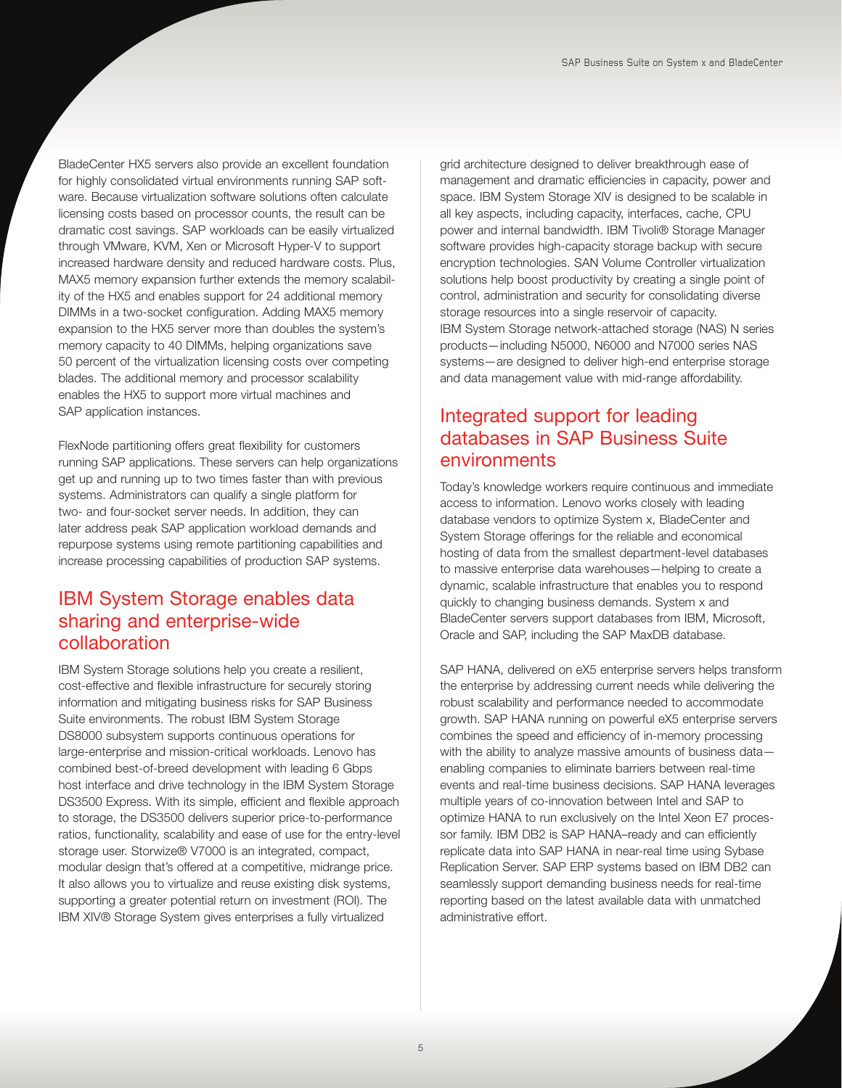BladeCenter HX5 servers also provide an excellent foundation for highly consolidated virtual environments running SAP software. Because virtualization software solutions often calculate licensing costs based on processor counts, the result can be dramatic cost savings. SAP workloads can be easily virtualized through VMware, KVM, Xen or Microsoft Hyper-V to support increased hardware density and reduced hardware costs. Plus, MAX5 memory expansion further extends the memory scalability of the HX5 and enables support for 24 additional memory DIMMs in a two-socket configuration. Adding MAX5 memory expansion to the HX5 server more than doubles the system's memory capacity to 40 DIMMs, helping organizations save 50 percent of the virtualization licensing costs over competing blades. The additional memory and processor scalability enables the HX5 to support more virtual machines and SAP application instances.

FlexNode partitioning offers great flexibility for customers running SAP applications. These servers can help organizations get up and running up to two times faster than with previous systems. Administrators can qualify a single platform for two- and four- socket server needs. In addition, they can later address peak SAP application workload demands and repurpose systems using remote partitioning capabilities and increase processing capabilities of production SAP systems.

## IBM System Storage enables data sharing and enterprise-wide collaboration

IBM System Storage solutions help you create a resilient, cost- effective and flexible infrastructure for securely storing information and mitigating business risks for SAP Business Suite environments. The robust IBM System Storage DS8000 subsystem supports continuous operations for large- enterprise and mission-critical workloads. Lenovo has combined best-of-breed development with leading 6 Gbps host interface and drive technology in the IBM System Storage DS3500 Express. With its simple, efficient and flexible approach to storage, the DS3500 delivers superior price-to- performance ratios, functionality, scalability and ease of use for the entry-level storage user. Storwize® V7000 is an integrated, compact, modular design that's offered at a competitive, midrange price. It also allows you to virtualize and reuse existing disk systems, supporting a greater potential return on investment (ROI). The IBM XIV® Storage System gives enterprises a fully virtualized

grid architecture designed to deliver breakthrough ease of management and dramatic efficiencies in capacity, power and space. IBM System Storage XIV is designed to be scalable in all key aspects, including capacity, interfaces, cache, CPU power and internal bandwidth. IBM Tivoli® Storage Manager software provides high-capacity storage backup with secure encryption technologies. SAN Volume Controller virtualization solutions help boost productivity by creating a single point of control, administration and security for consolidating diverse storage resources into a single reservoir of capacity. IBM System Storage network-attached storage (NAS) N series products—including N5000, N6000 and N7000 series NAS systems—are designed to deliver high-end enterprise storage and data management value with mid-range affordability.

## Integrated support for leading databases in SAP Business Suite environments

Today's knowledge workers require continuous and immediate access to information. Lenovo works closely with leading database vendors to optimize System x, BladeCenter and System Storage offerings for the reliable and economical hosting of data from the smallest department-level databases to massive enterprise data warehouses—helping to create a dynamic, scalable infrastructure that enables you to respond quickly to changing business demands. System x and BladeCenter servers support databases from IBM, Microsoft, Oracle and SAP, including the SAP MaxDB database.

SAP HANA, delivered on eX5 enterprise servers helps transform the enterprise by addressing current needs while delivering the robust scalability and performance needed to accommodate growth. SAP HANA running on powerful eX5 enterprise servers combines the speed and efficiency of in-memory processing with the ability to analyze massive amounts of business data enabling companies to eliminate barriers between real-time events and real-time business decisions. SAP HANA leverages multiple years of co-innovation between Intel and SAP to optimize HANA to run exclusively on the Intel Xeon E7 processor family. IBM DB2 is SAP HANA–ready and can efficiently replicate data into SAP HANA in near-real time using Sybase Replication Server. SAP ERP systems based on IBM DB2 can seamlessly support demanding business needs for real-time reporting based on the latest available data with unmatched administrative effort.